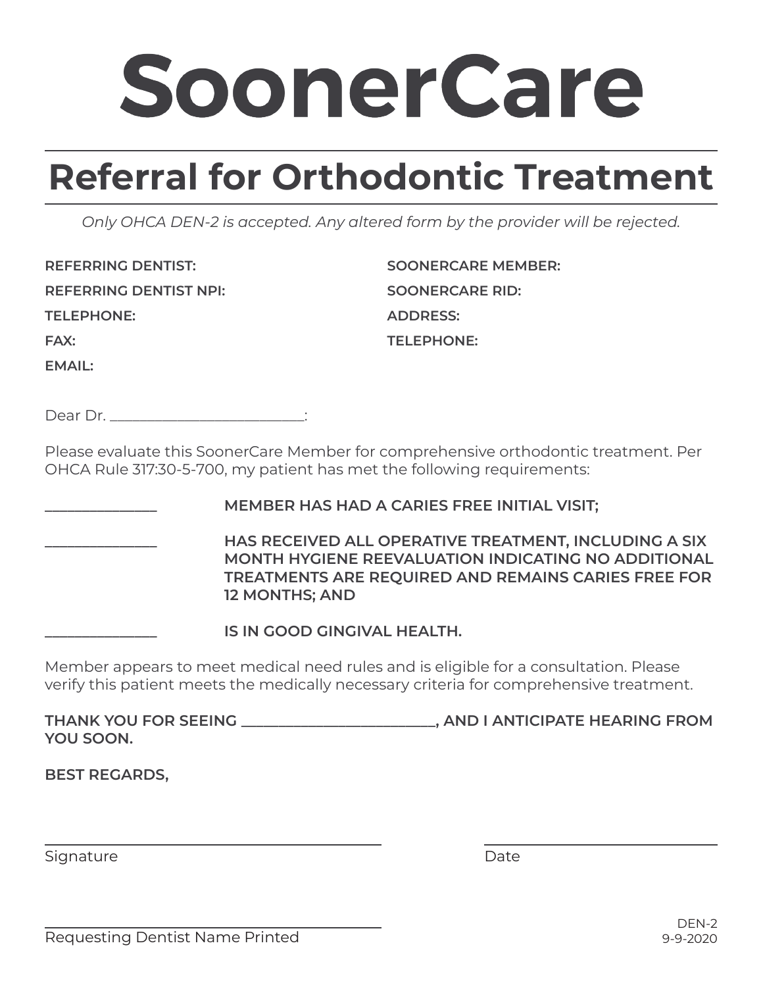## SoonerCare

## **Referral for Orthodontic Treatment**

*Only OHCA DEN-2 is accepted. Any altered form by the provider will be rejected.*

**REFERRING DENTIST: REFERRING DENTIST NPI: TELEPHONE: FAX: EMAIL:**

**SOONERCARE MEMBER: SOONERCARE RID: ADDRESS: TELEPHONE:**

Dear Dr.

Please evaluate this SoonerCare Member for comprehensive orthodontic treatment. Per OHCA Rule 317:30-5-700, my patient has met the following requirements:

**\_\_\_\_\_\_\_\_\_\_\_\_\_\_\_ MEMBER HAS HAD A CARIES FREE INITIAL VISIT;**

**\_\_\_\_\_\_\_\_\_\_\_\_\_\_\_ HAS RECEIVED ALL OPERATIVE TREATMENT, INCLUDING A SIX MONTH HYGIENE REEVALUATION INDICATING NO ADDITIONAL TREATMENTS ARE REQUIRED AND REMAINS CARIES FREE FOR 12 MONTHS; AND**

**\_\_\_\_\_\_\_\_\_\_\_\_\_\_\_ IS IN GOOD GINGIVAL HEALTH.**

Member appears to meet medical need rules and is eligible for a consultation. Please verify this patient meets the medically necessary criteria for comprehensive treatment.

**THANK YOU FOR SEEING \_\_\_\_\_\_\_\_\_\_\_\_\_\_\_\_\_\_\_\_\_\_\_\_\_\_, AND I ANTICIPATE HEARING FROM YOU SOON.**

**BEST REGARDS,**

Signature

Date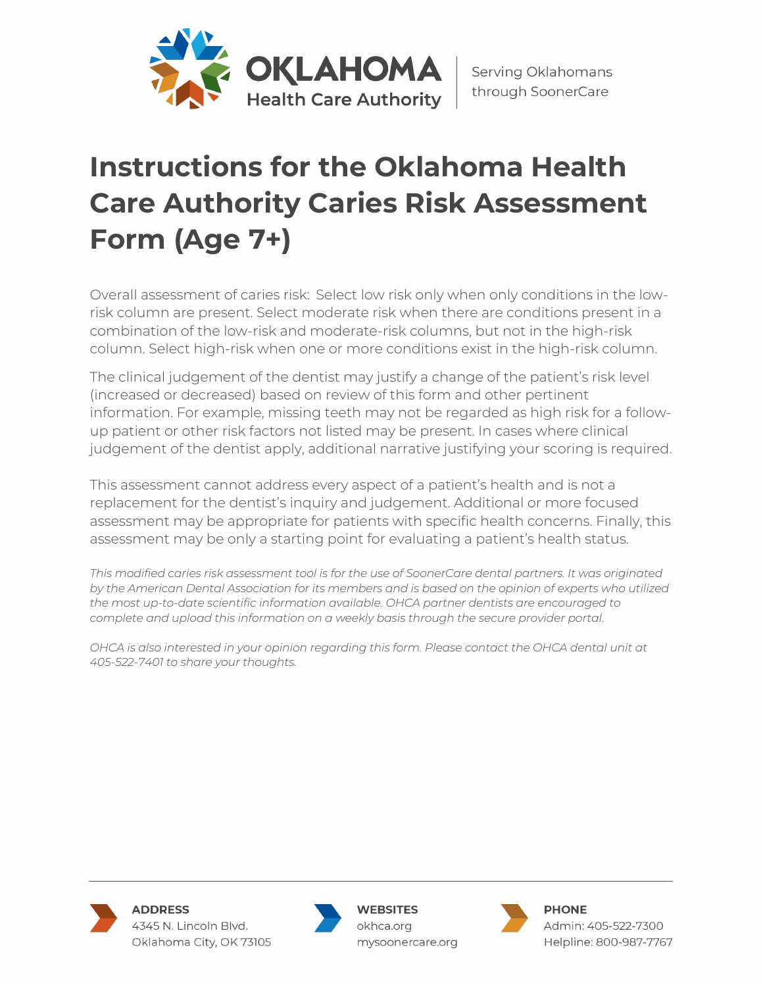

## **Instructions for the Oklahoma Health Care Authority Caries Risk Assessment Form (Age 7+)**

Overall assessment of caries risk: Select low risk only when only conditions in the lowrisk column are present. Select moderate risk when there are conditions present in a combination of the low-risk and moderate-risk columns, but not in the high-risk column. Select high-risk when one or more conditions exist in the high-risk column.

The clinical judgement of the dentist may justify a change of the patient's risk level (increased or decreased) based on review of this form and other pertinent information. For example, missing teeth may not be regarded as high risk for a followup patient or other risk factors not listed may be present. In cases where clinical judgement of the dentist apply, additional narrative justifying your scoring is required.

This assessment cannot address every aspect of a patient's health and is not a replacement for the dentist's inquiry and judgement. Additional or more focused assessment may be appropriate for patients with specific health concerns. Finally, this assessment may be only a starting point for evaluating a patient's health status.

*This modified caries risk assessment tool is for the use of SoonerCare dental partners. It was originated by the American Dental Association for its members and is based on the opinion of experts who utilized the most up-to-date scientific information available. OHCA partner dentists are encouraged to complete and upload this information on a weekly basis through the secure provider portal.*

*OHCA is also interested in your opinion regarding this form. Please contact the OHCA dental unit at 405-522-7401 to share your thoughts.*



**WEBSITES** okhca.org mysoonercare.org



**PHONE** Admin: 405-522-7300 Helpline: 800-987-7767